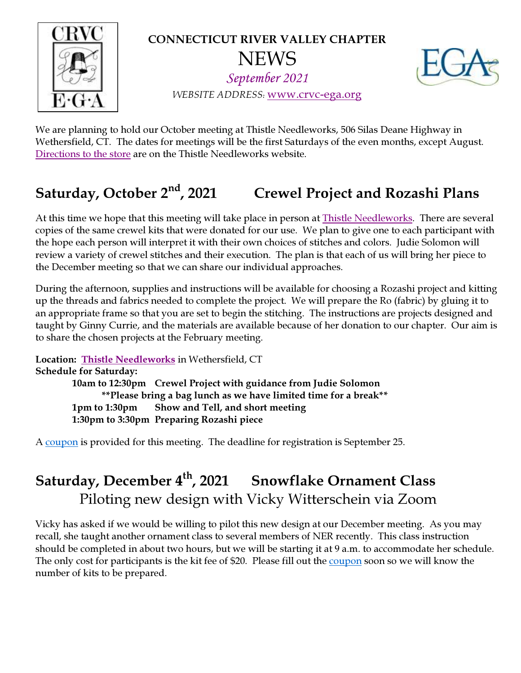

CONNECTICUT RIVER VALLEY CHAPTER **NEWS** September 2021



WEBSITE ADDRESS: www.crvc-ega.org

We are planning to hold our October meeting at Thistle Needleworks, 506 Silas Deane Highway in Wethersfield, CT. The dates for meetings will be the first Saturdays of the even months, except August. Directions to the store are on the Thistle Needleworks website.

# Saturday, October 2<sup>nd</sup>, 2021 Crewel Project and Rozashi Plans

At this time we hope that this meeting will take place in person at **Thistle Needleworks**. There are several copies of the same crewel kits that were donated for our use. We plan to give one to each participant with the hope each person will interpret it with their own choices of stitches and colors. Judie Solomon will review a variety of crewel stitches and their execution. The plan is that each of us will bring her piece to the December meeting so that we can share our individual approaches.

During the afternoon, supplies and instructions will be available for choosing a Rozashi project and kitting up the threads and fabrics needed to complete the project. We will prepare the Ro (fabric) by gluing it to an appropriate frame so that you are set to begin the stitching. The instructions are projects designed and taught by Ginny Currie, and the materials are available because of her donation to our chapter. Our aim is to share the chosen projects at the February meeting.

Location: Thistle Needleworks in Wethersfield, CT Schedule for Saturday: 10am to 12:30pm Crewel Project with guidance from Judie Solomon \*\*Please bring a bag lunch as we have limited time for a break\*\* 1pm to 1:30pm Show and Tell, and short meeting 1:30pm to 3:30pm Preparing Rozashi piece

A coupon is provided for this meeting. The deadline for registration is September 25.

## Saturday, December  $4<sup>th</sup>$ , 2021 Snowflake Ornament Class Piloting new design with Vicky Witterschein via Zoom

Vicky has asked if we would be willing to pilot this new design at our December meeting. As you may recall, she taught another ornament class to several members of NER recently. This class instruction should be completed in about two hours, but we will be starting it at 9 a.m. to accommodate her schedule. The only cost for participants is the kit fee of \$20. Please fill out the coupon soon so we will know the number of kits to be prepared.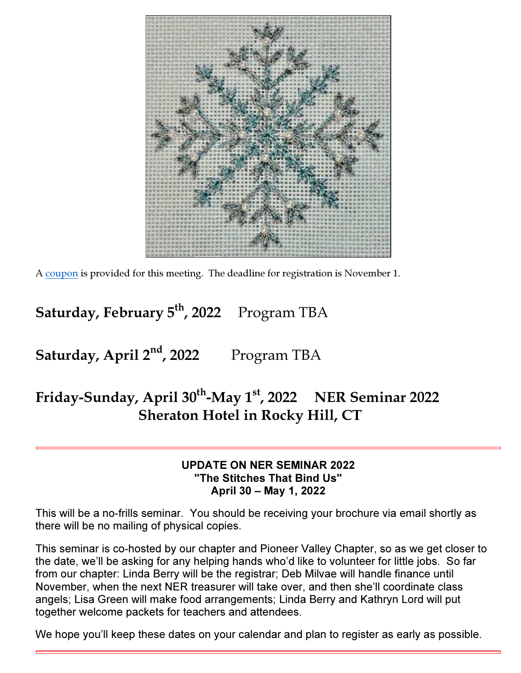

A coupon is provided for this meeting. The deadline for registration is November 1.

Saturday, February 5<sup>th</sup>, 2022 Program TBA

Saturday, April 2<sup>nd</sup>, 2022 Program TBA

### Friday-Sunday, April  $30^{th}$ -May  $1^{st}$ , 2022 NER Seminar 2022 Sheraton Hotel in Rocky Hill, CT

#### UPDATE ON NER SEMINAR 2022 "The Stitches That Bind Us" April 30 – May 1, 2022

This will be a no-frills seminar. You should be receiving your brochure via email shortly as there will be no mailing of physical copies.

This seminar is co-hosted by our chapter and Pioneer Valley Chapter, so as we get closer to the date, we'll be asking for any helping hands who'd like to volunteer for little jobs. So far from our chapter: Linda Berry will be the registrar; Deb Milvae will handle finance until November, when the next NER treasurer will take over, and then she'll coordinate class angels; Lisa Green will make food arrangements; Linda Berry and Kathryn Lord will put together welcome packets for teachers and attendees.

We hope you'll keep these dates on your calendar and plan to register as early as possible.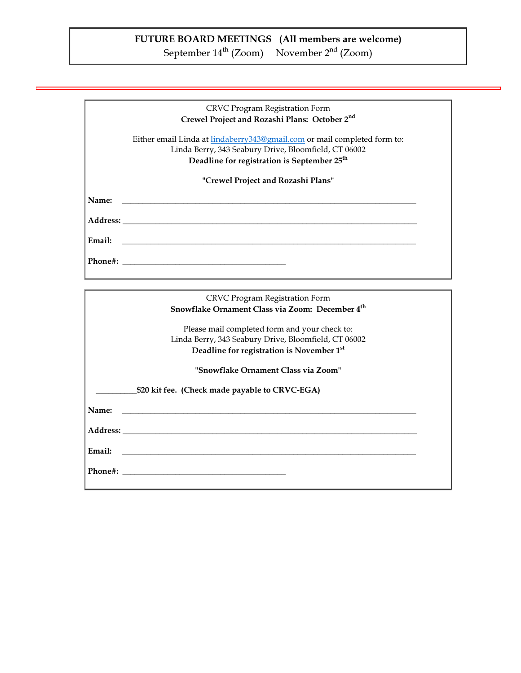#### FUTURE BOARD MEETINGS (All members are welcome)

September 14<sup>th</sup> (Zoom) November 2<sup>nd</sup> (Zoom)

| CRVC Program Registration Form                                                                                                                                                              |
|---------------------------------------------------------------------------------------------------------------------------------------------------------------------------------------------|
| Crewel Project and Rozashi Plans: October 2nd                                                                                                                                               |
| Either email Linda at lindaberry343@gmail.com or mail completed form to:<br>Linda Berry, 343 Seabury Drive, Bloomfield, CT 06002<br>Deadline for registration is September 25 <sup>th</sup> |
|                                                                                                                                                                                             |
| "Crewel Project and Rozashi Plans"                                                                                                                                                          |
|                                                                                                                                                                                             |
|                                                                                                                                                                                             |
| <u> 1989 - Johann John Stoff, deutscher Stoffen und der Stoffen und der Stoffen und der Stoffen und der Stoffen un</u>                                                                      |
|                                                                                                                                                                                             |
|                                                                                                                                                                                             |
| CRVC Program Registration Form                                                                                                                                                              |
| Snowflake Ornament Class via Zoom: December 4 <sup>th</sup>                                                                                                                                 |
| Please mail completed form and your check to:<br>Linda Berry, 343 Seabury Drive, Bloomfield, CT 06002                                                                                       |
| Deadline for registration is November 1st                                                                                                                                                   |
| "Snowflake Ornament Class via Zoom"                                                                                                                                                         |
| \$20 kit fee. (Check made payable to CRVC-EGA)                                                                                                                                              |
| <u> 1989 - Johann Stoff, deutscher Stoffen und der Stoffen und der Stoffen und der Stoffen und der Stoffen und der</u>                                                                      |
|                                                                                                                                                                                             |
| <u> 1989 - Johann Harry Harry Harry Harry Harry Harry Harry Harry Harry Harry Harry Harry Harry Harry Harry Harry</u>                                                                       |
|                                                                                                                                                                                             |
|                                                                                                                                                                                             |